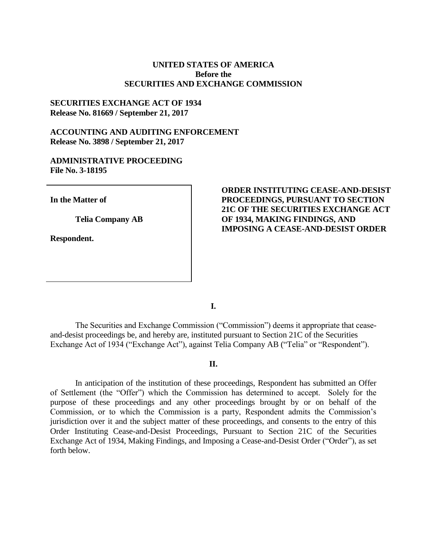## **UNITED STATES OF AMERICA Before the SECURITIES AND EXCHANGE COMMISSION**

## **SECURITIES EXCHANGE ACT OF 1934 Release No. 81669 / September 21, 2017**

## **ACCOUNTING AND AUDITING ENFORCEMENT Release No. 3898 / September 21, 2017**

# **ADMINISTRATIVE PROCEEDING File No. 3-18195**

**In the Matter of**

**Telia Company AB**

**Respondent.**

# **ORDER INSTITUTING CEASE-AND-DESIST PROCEEDINGS, PURSUANT TO SECTION 21C OF THE SECURITIES EXCHANGE ACT OF 1934, MAKING FINDINGS, AND IMPOSING A CEASE-AND-DESIST ORDER**

**I.**

The Securities and Exchange Commission ("Commission") deems it appropriate that ceaseand-desist proceedings be, and hereby are, instituted pursuant to Section 21C of the Securities Exchange Act of 1934 ("Exchange Act"), against Telia Company AB ("Telia" or "Respondent").

### **II.**

In anticipation of the institution of these proceedings, Respondent has submitted an Offer of Settlement (the "Offer") which the Commission has determined to accept. Solely for the purpose of these proceedings and any other proceedings brought by or on behalf of the Commission, or to which the Commission is a party, Respondent admits the Commission's jurisdiction over it and the subject matter of these proceedings, and consents to the entry of this Order Instituting Cease-and-Desist Proceedings, Pursuant to Section 21C of the Securities Exchange Act of 1934, Making Findings, and Imposing a Cease-and-Desist Order ("Order"), as set forth below.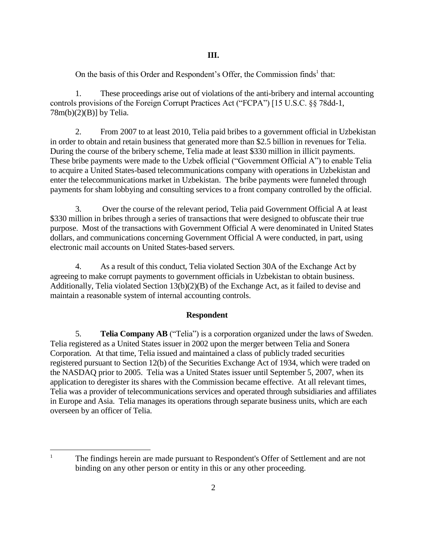On the basis of this Order and Respondent's Offer, the Commission finds<sup>1</sup> that:

1. These proceedings arise out of violations of the anti-bribery and internal accounting controls provisions of the Foreign Corrupt Practices Act ("FCPA") [15 U.S.C. §§ 78dd-1,  $78m(b)(2)(B)$ ] by Telia.

2. From 2007 to at least 2010, Telia paid bribes to a government official in Uzbekistan in order to obtain and retain business that generated more than \$2.5 billion in revenues for Telia. During the course of the bribery scheme, Telia made at least \$330 million in illicit payments. These bribe payments were made to the Uzbek official ("Government Official A") to enable Telia to acquire a United States-based telecommunications company with operations in Uzbekistan and enter the telecommunications market in Uzbekistan. The bribe payments were funneled through payments for sham lobbying and consulting services to a front company controlled by the official.

3. Over the course of the relevant period, Telia paid Government Official A at least \$330 million in bribes through a series of transactions that were designed to obfuscate their true purpose. Most of the transactions with Government Official A were denominated in United States dollars, and communications concerning Government Official A were conducted, in part, using electronic mail accounts on United States-based servers.

4. As a result of this conduct, Telia violated Section 30A of the Exchange Act by agreeing to make corrupt payments to government officials in Uzbekistan to obtain business. Additionally, Telia violated Section 13(b)(2)(B) of the Exchange Act, as it failed to devise and maintain a reasonable system of internal accounting controls.

### **Respondent**

5. **Telia Company AB** ("Telia") is a corporation organized under the laws of Sweden. Telia registered as a United States issuer in 2002 upon the merger between Telia and Sonera Corporation. At that time, Telia issued and maintained a class of publicly traded securities registered pursuant to Section 12(b) of the Securities Exchange Act of 1934, which were traded on the NASDAQ prior to 2005. Telia was a United States issuer until September 5, 2007, when its application to deregister its shares with the Commission became effective. At all relevant times, Telia was a provider of telecommunications services and operated through subsidiaries and affiliates in Europe and Asia. Telia manages its operations through separate business units, which are each overseen by an officer of Telia.

 $\mathbf{1}$ The findings herein are made pursuant to Respondent's Offer of Settlement and are not binding on any other person or entity in this or any other proceeding.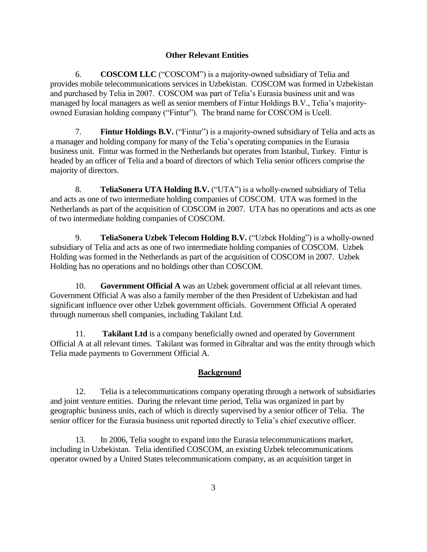## **Other Relevant Entities**

6. **COSCOM LLC** ("COSCOM") is a majority-owned subsidiary of Telia and provides mobile telecommunications services in Uzbekistan. COSCOM was formed in Uzbekistan and purchased by Telia in 2007. COSCOM was part of Telia's Eurasia business unit and was managed by local managers as well as senior members of Fintur Holdings B.V., Telia's majorityowned Eurasian holding company ("Fintur"). The brand name for COSCOM is Ucell.

7. **Fintur Holdings B.V.** ("Fintur") is a majority-owned subsidiary of Telia and acts as a manager and holding company for many of the Telia's operating companies in the Eurasia business unit. Fintur was formed in the Netherlands but operates from Istanbul, Turkey. Fintur is headed by an officer of Telia and a board of directors of which Telia senior officers comprise the majority of directors.

8. **TeliaSonera UTA Holding B.V.** ("UTA") is a wholly-owned subsidiary of Telia and acts as one of two intermediate holding companies of COSCOM. UTA was formed in the Netherlands as part of the acquisition of COSCOM in 2007. UTA has no operations and acts as one of two intermediate holding companies of COSCOM.

9. **TeliaSonera Uzbek Telecom Holding B.V.** ("Uzbek Holding") is a wholly-owned subsidiary of Telia and acts as one of two intermediate holding companies of COSCOM. Uzbek Holding was formed in the Netherlands as part of the acquisition of COSCOM in 2007. Uzbek Holding has no operations and no holdings other than COSCOM.

10. **Government Official A** was an Uzbek government official at all relevant times. Government Official A was also a family member of the then President of Uzbekistan and had significant influence over other Uzbek government officials. Government Official A operated through numerous shell companies, including Takilant Ltd.

11. **Takilant Ltd** is a company beneficially owned and operated by Government Official A at all relevant times. Takilant was formed in Gibraltar and was the entity through which Telia made payments to Government Official A.

## **Background**

12. Telia is a telecommunications company operating through a network of subsidiaries and joint venture entities. During the relevant time period, Telia was organized in part by geographic business units, each of which is directly supervised by a senior officer of Telia. The senior officer for the Eurasia business unit reported directly to Telia's chief executive officer.

13. In 2006, Telia sought to expand into the Eurasia telecommunications market, including in Uzbekistan. Telia identified COSCOM, an existing Uzbek telecommunications operator owned by a United States telecommunications company, as an acquisition target in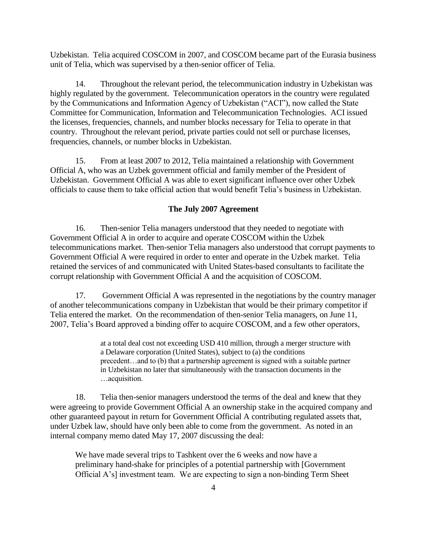Uzbekistan. Telia acquired COSCOM in 2007, and COSCOM became part of the Eurasia business unit of Telia, which was supervised by a then-senior officer of Telia.

14. Throughout the relevant period, the telecommunication industry in Uzbekistan was highly regulated by the government. Telecommunication operators in the country were regulated by the Communications and Information Agency of Uzbekistan ("ACI"), now called the State Committee for Communication, Information and Telecommunication Technologies. ACI issued the licenses, frequencies, channels, and number blocks necessary for Telia to operate in that country. Throughout the relevant period, private parties could not sell or purchase licenses, frequencies, channels, or number blocks in Uzbekistan.

15. From at least 2007 to 2012, Telia maintained a relationship with Government Official A, who was an Uzbek government official and family member of the President of Uzbekistan. Government Official A was able to exert significant influence over other Uzbek officials to cause them to take official action that would benefit Telia's business in Uzbekistan.

#### **The July 2007 Agreement**

16. Then-senior Telia managers understood that they needed to negotiate with Government Official A in order to acquire and operate COSCOM within the Uzbek telecommunications market. Then-senior Telia managers also understood that corrupt payments to Government Official A were required in order to enter and operate in the Uzbek market. Telia retained the services of and communicated with United States-based consultants to facilitate the corrupt relationship with Government Official A and the acquisition of COSCOM.

17. Government Official A was represented in the negotiations by the country manager of another telecommunications company in Uzbekistan that would be their primary competitor if Telia entered the market. On the recommendation of then-senior Telia managers, on June 11, 2007, Telia's Board approved a binding offer to acquire COSCOM, and a few other operators,

> at a total deal cost not exceeding USD 410 million, through a merger structure with a Delaware corporation (United States), subject to (a) the conditions precedent…and to (b) that a partnership agreement is signed with a suitable partner in Uzbekistan no later that simultaneously with the transaction documents in the …acquisition.

18. Telia then-senior managers understood the terms of the deal and knew that they were agreeing to provide Government Official A an ownership stake in the acquired company and other guaranteed payout in return for Government Official A contributing regulated assets that, under Uzbek law, should have only been able to come from the government. As noted in an internal company memo dated May 17, 2007 discussing the deal:

We have made several trips to Tashkent over the 6 weeks and now have a preliminary hand-shake for principles of a potential partnership with [Government Official A's] investment team. We are expecting to sign a non-binding Term Sheet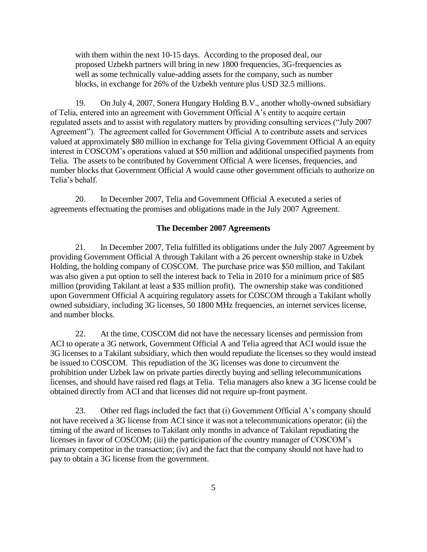with them within the next 10-15 days. According to the proposed deal, our proposed Uzbekh partners will bring in new 1800 frequencies, 3G-frequencies as well as some technically value-adding assets for the company, such as number blocks, in exchange for 26% of the Uzbekh venture plus USD 32.5 millions.

19. On July 4, 2007, Sonera Hungary Holding B.V., another wholly-owned subsidiary of Telia, entered into an agreement with Government Official A's entity to acquire certain regulated assets and to assist with regulatory matters by providing consulting services ("July 2007 Agreement"). The agreement called for Government Official A to contribute assets and services valued at approximately \$80 million in exchange for Telia giving Government Official A an equity interest in COSCOM's operations valued at \$50 million and additional unspecified payments from Telia. The assets to be contributed by Government Official A were licenses, frequencies, and number blocks that Government Official A would cause other government officials to authorize on Telia's behalf.

20. In December 2007, Telia and Government Official A executed a series of agreements effectuating the promises and obligations made in the July 2007 Agreement.

#### **The December 2007 Agreements**

21. In December 2007, Telia fulfilled its obligations under the July 2007 Agreement by providing Government Official A through Takilant with a 26 percent ownership stake in Uzbek Holding, the holding company of COSCOM. The purchase price was \$50 million, and Takilant was also given a put option to sell the interest back to Telia in 2010 for a minimum price of \$85 million (providing Takilant at least a \$35 million profit). The ownership stake was conditioned upon Government Official A acquiring regulatory assets for COSCOM through a Takilant wholly owned subsidiary, including 3G licenses, 50 1800 MHz frequencies, an internet services license, and number blocks.

22. At the time, COSCOM did not have the necessary licenses and permission from ACI to operate a 3G network, Government Official A and Telia agreed that ACI would issue the 3G licenses to a Takilant subsidiary, which then would repudiate the licenses so they would instead be issued to COSCOM. This repudiation of the 3G licenses was done to circumvent the prohibition under Uzbek law on private parties directly buying and selling telecommunications licenses, and should have raised red flags at Telia. Telia managers also knew a 3G license could be obtained directly from ACI and that licenses did not require up-front payment.

23. Other red flags included the fact that (i) Government Official A's company should not have received a 3G license from ACI since it was not a telecommunications operator; (ii) the timing of the award of licenses to Takilant only months in advance of Takilant repudiating the licenses in favor of COSCOM; (iii) the participation of the country manager of COSCOM's primary competitor in the transaction; (iv) and the fact that the company should not have had to pay to obtain a 3G license from the government.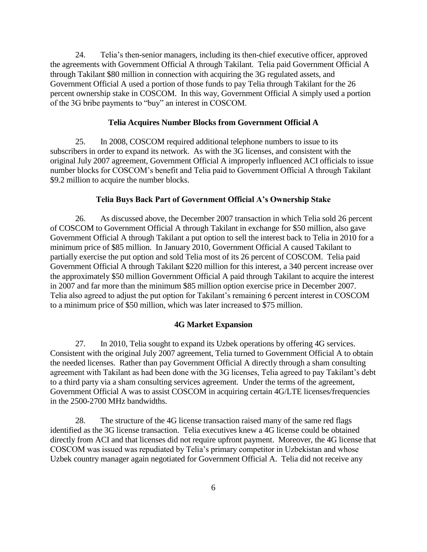24. Telia's then-senior managers, including its then-chief executive officer, approved the agreements with Government Official A through Takilant. Telia paid Government Official A through Takilant \$80 million in connection with acquiring the 3G regulated assets, and Government Official A used a portion of those funds to pay Telia through Takilant for the 26 percent ownership stake in COSCOM. In this way, Government Official A simply used a portion of the 3G bribe payments to "buy" an interest in COSCOM.

### **Telia Acquires Number Blocks from Government Official A**

25. In 2008, COSCOM required additional telephone numbers to issue to its subscribers in order to expand its network. As with the 3G licenses, and consistent with the original July 2007 agreement, Government Official A improperly influenced ACI officials to issue number blocks for COSCOM's benefit and Telia paid to Government Official A through Takilant \$9.2 million to acquire the number blocks.

## **Telia Buys Back Part of Government Official A's Ownership Stake**

26. As discussed above, the December 2007 transaction in which Telia sold 26 percent of COSCOM to Government Official A through Takilant in exchange for \$50 million, also gave Government Official A through Takilant a put option to sell the interest back to Telia in 2010 for a minimum price of \$85 million. In January 2010, Government Official A caused Takilant to partially exercise the put option and sold Telia most of its 26 percent of COSCOM. Telia paid Government Official A through Takilant \$220 million for this interest, a 340 percent increase over the approximately \$50 million Government Official A paid through Takilant to acquire the interest in 2007 and far more than the minimum \$85 million option exercise price in December 2007. Telia also agreed to adjust the put option for Takilant's remaining 6 percent interest in COSCOM to a minimum price of \$50 million, which was later increased to \$75 million.

#### **4G Market Expansion**

27. In 2010, Telia sought to expand its Uzbek operations by offering 4G services. Consistent with the original July 2007 agreement, Telia turned to Government Official A to obtain the needed licenses. Rather than pay Government Official A directly through a sham consulting agreement with Takilant as had been done with the 3G licenses, Telia agreed to pay Takilant's debt to a third party via a sham consulting services agreement. Under the terms of the agreement, Government Official A was to assist COSCOM in acquiring certain 4G/LTE licenses/frequencies in the 2500-2700 MHz bandwidths.

28. The structure of the 4G license transaction raised many of the same red flags identified as the 3G license transaction. Telia executives knew a 4G license could be obtained directly from ACI and that licenses did not require upfront payment. Moreover, the 4G license that COSCOM was issued was repudiated by Telia's primary competitor in Uzbekistan and whose Uzbek country manager again negotiated for Government Official A. Telia did not receive any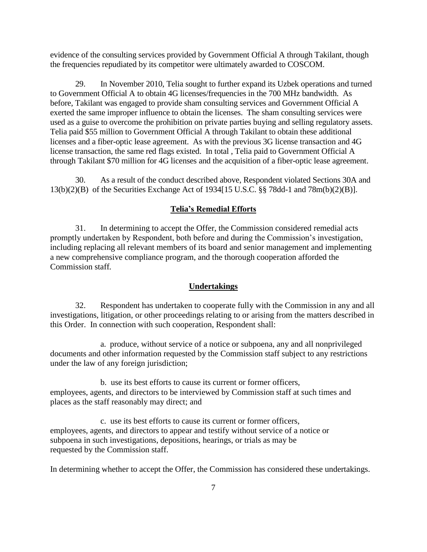evidence of the consulting services provided by Government Official A through Takilant, though the frequencies repudiated by its competitor were ultimately awarded to COSCOM.

29. In November 2010, Telia sought to further expand its Uzbek operations and turned to Government Official A to obtain 4G licenses/frequencies in the 700 MHz bandwidth. As before, Takilant was engaged to provide sham consulting services and Government Official A exerted the same improper influence to obtain the licenses. The sham consulting services were used as a guise to overcome the prohibition on private parties buying and selling regulatory assets. Telia paid \$55 million to Government Official A through Takilant to obtain these additional licenses and a fiber-optic lease agreement. As with the previous 3G license transaction and 4G license transaction, the same red flags existed. In total , Telia paid to Government Official A through Takilant \$70 million for 4G licenses and the acquisition of a fiber-optic lease agreement.

30. As a result of the conduct described above, Respondent violated Sections 30A and 13(b)(2)(B) of the Securities Exchange Act of 1934[15 U.S.C. §§ 78dd-1 and 78m(b)(2)(B)].

## **Telia's Remedial Efforts**

31. In determining to accept the Offer, the Commission considered remedial acts promptly undertaken by Respondent, both before and during the Commission's investigation, including replacing all relevant members of its board and senior management and implementing a new comprehensive compliance program, and the thorough cooperation afforded the Commission staff*.*

### **Undertakings**

32. Respondent has undertaken to cooperate fully with the Commission in any and all investigations, litigation, or other proceedings relating to or arising from the matters described in this Order. In connection with such cooperation, Respondent shall:

a. produce, without service of a notice or subpoena, any and all nonprivileged documents and other information requested by the Commission staff subject to any restrictions under the law of any foreign jurisdiction;

b. use its best efforts to cause its current or former officers, employees, agents, and directors to be interviewed by Commission staff at such times and places as the staff reasonably may direct; and

c. use its best efforts to cause its current or former officers, employees, agents, and directors to appear and testify without service of a notice or subpoena in such investigations, depositions, hearings, or trials as may be requested by the Commission staff.

In determining whether to accept the Offer, the Commission has considered these undertakings.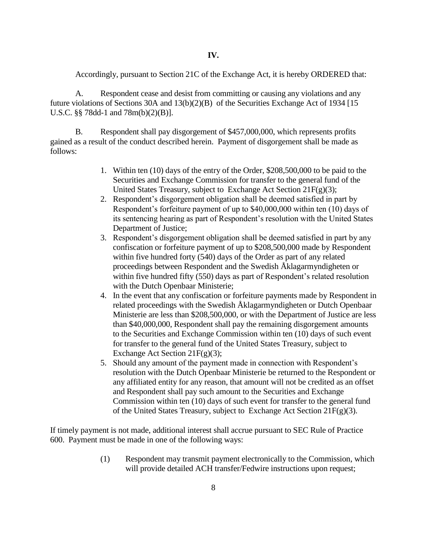Accordingly, pursuant to Section 21C of the Exchange Act, it is hereby ORDERED that:

A. Respondent cease and desist from committing or causing any violations and any future violations of Sections 30A and 13(b)(2)(B) of the Securities Exchange Act of 1934 [15 U.S.C. §§ 78dd-1 and 78m(b)(2)(B)].

B. Respondent shall pay disgorgement of \$457,000,000, which represents profits gained as a result of the conduct described herein. Payment of disgorgement shall be made as follows:

- 1. Within ten (10) days of the entry of the Order, \$208,500,000 to be paid to the Securities and Exchange Commission for transfer to the general fund of the United States Treasury, subject to Exchange Act Section  $21F(g)(3)$ ;
- 2. Respondent's disgorgement obligation shall be deemed satisfied in part by Respondent's forfeiture payment of up to \$40,000,000 within ten (10) days of its sentencing hearing as part of Respondent's resolution with the United States Department of Justice;
- 3. Respondent's disgorgement obligation shall be deemed satisfied in part by any confiscation or forfeiture payment of up to \$208,500,000 made by Respondent within five hundred forty (540) days of the Order as part of any related proceedings between Respondent and the Swedish Åklagarmyndigheten or within five hundred fifty (550) days as part of Respondent's related resolution with the Dutch Openbaar Ministerie;
- 4. In the event that any confiscation or forfeiture payments made by Respondent in related proceedings with the Swedish Åklagarmyndigheten or Dutch Openbaar Ministerie are less than \$208,500,000, or with the Department of Justice are less than \$40,000,000, Respondent shall pay the remaining disgorgement amounts to the Securities and Exchange Commission within ten (10) days of such event for transfer to the general fund of the United States Treasury, subject to Exchange Act Section 21F(g)(3);
- 5. Should any amount of the payment made in connection with Respondent's resolution with the Dutch Openbaar Ministerie be returned to the Respondent or any affiliated entity for any reason, that amount will not be credited as an offset and Respondent shall pay such amount to the Securities and Exchange Commission within ten (10) days of such event for transfer to the general fund of the United States Treasury, subject to Exchange Act Section 21F(g)(3).

If timely payment is not made, additional interest shall accrue pursuant to SEC Rule of Practice 600. Payment must be made in one of the following ways:

> (1) Respondent may transmit payment electronically to the Commission, which will provide detailed ACH transfer/Fedwire instructions upon request;